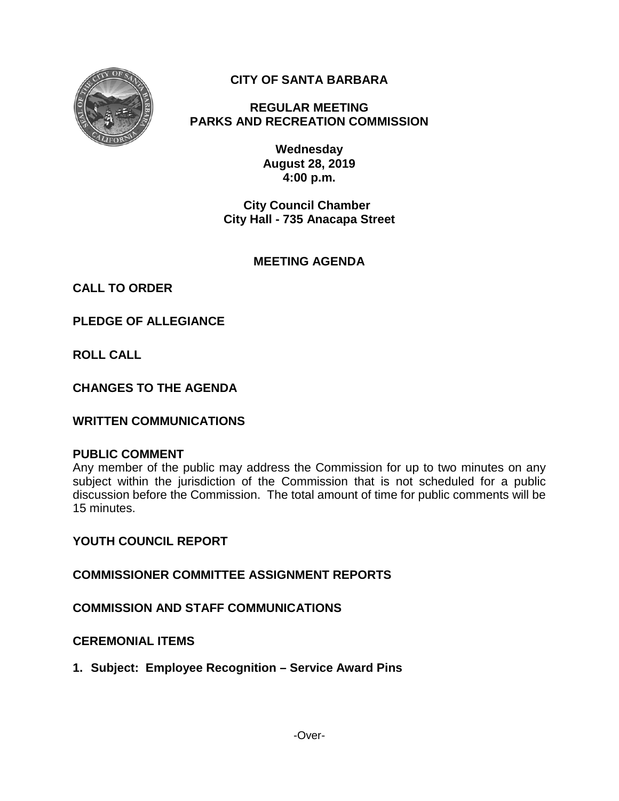

# **CITY OF SANTA BARBARA**

**REGULAR MEETING PARKS AND RECREATION COMMISSION**

> **Wednesday August 28, 2019 4:00 p.m.**

**City Council Chamber City Hall - 735 Anacapa Street**

## **MEETING AGENDA**

**CALL TO ORDER**

**PLEDGE OF ALLEGIANCE**

**ROLL CALL**

**CHANGES TO THE AGENDA**

### **WRITTEN COMMUNICATIONS**

#### **PUBLIC COMMENT**

Any member of the public may address the Commission for up to two minutes on any subject within the jurisdiction of the Commission that is not scheduled for a public discussion before the Commission. The total amount of time for public comments will be 15 minutes.

**YOUTH COUNCIL REPORT**

**COMMISSIONER COMMITTEE ASSIGNMENT REPORTS**

**COMMISSION AND STAFF COMMUNICATIONS**

### **CEREMONIAL ITEMS**

**1. Subject: Employee Recognition – Service Award Pins**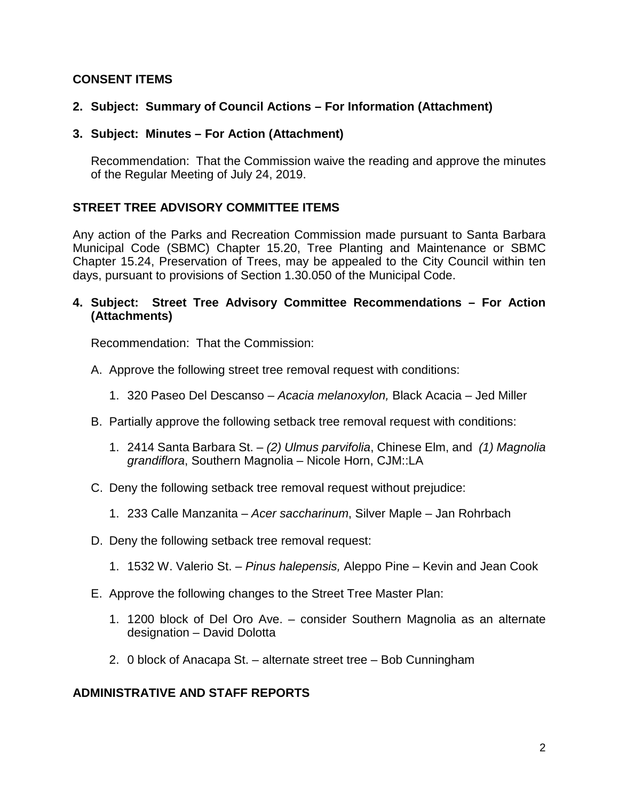## **CONSENT ITEMS**

## **2. Subject: Summary of Council Actions – For Information (Attachment)**

**3. Subject: Minutes – For Action (Attachment)**

Recommendation: That the Commission waive the reading and approve the minutes of the Regular Meeting of July 24, 2019.

### **STREET TREE ADVISORY COMMITTEE ITEMS**

Any action of the Parks and Recreation Commission made pursuant to Santa Barbara Municipal Code (SBMC) Chapter 15.20, Tree Planting and Maintenance or SBMC Chapter 15.24, Preservation of Trees, may be appealed to the City Council within ten days, pursuant to provisions of Section 1.30.050 of the Municipal Code.

### **4. Subject: Street Tree Advisory Committee Recommendations – For Action (Attachments)**

Recommendation: That the Commission:

- A. Approve the following street tree removal request with conditions:
	- 1. 320 Paseo Del Descanso *Acacia melanoxylon,* Black Acacia *–* Jed Miller
- B. Partially approve the following setback tree removal request with conditions:
	- 1. 2414 Santa Barbara St. *(2) Ulmus parvifolia*, Chinese Elm, and *(1) Magnolia grandiflora*, Southern Magnolia – Nicole Horn, CJM::LA
- C. Deny the following setback tree removal request without prejudice:
	- 1. 233 Calle Manzanita *Acer saccharinum*, Silver Maple Jan Rohrbach
- D. Deny the following setback tree removal request:
	- 1. 1532 W. Valerio St. *Pinus halepensis,* Aleppo Pine Kevin and Jean Cook
- E. Approve the following changes to the Street Tree Master Plan:
	- 1. 1200 block of Del Oro Ave. consider Southern Magnolia as an alternate designation – David Dolotta
	- 2. 0 block of Anacapa St. alternate street tree Bob Cunningham

### **ADMINISTRATIVE AND STAFF REPORTS**